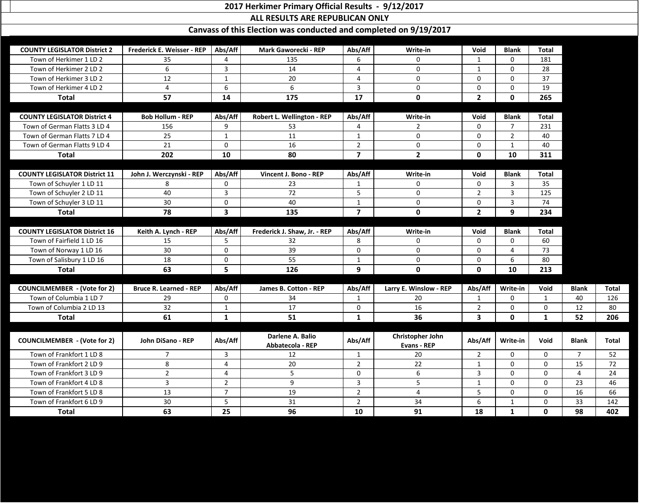## **2017 Herkimer Primary Official Results - 9/12/2017**

**ALL RESULTS ARE REPUBLICAN ONLY**

**Canvass of this Election was conducted and completed on 9/19/2017**

| <b>COUNTY LEGISLATOR District 2</b>  | Frederick E. Weisser - REP    | Abs/Aff        | Mark Gaworecki - REP         | Abs/Aff        | Write-in                | Void           | <b>Blank</b>   | <b>Total</b> |                |              |
|--------------------------------------|-------------------------------|----------------|------------------------------|----------------|-------------------------|----------------|----------------|--------------|----------------|--------------|
| Town of Herkimer 1 LD 2              | 35                            | $\Lambda$      | 135                          | 6              | 0                       | 1              | $\mathbf{0}$   | 181          |                |              |
| Town of Herkimer 2 LD 2              | 6                             | 3              | 14                           | 4              | $\mathbf 0$             | $\mathbf{1}$   | $\mathbf 0$    | 28           |                |              |
| Town of Herkimer 3 LD 2              | 12                            | $\mathbf 1$    | 20                           | 4              | $\mathbf 0$             | 0              | $\Omega$       | 37           |                |              |
| Town of Herkimer 4 LD 2              | 4                             | 6              | 6                            | 3              | 0                       | $\Omega$       | $\mathbf 0$    | 19           |                |              |
| <b>Total</b>                         | 57                            | 14             | 175                          | 17             | $\mathbf 0$             | $\overline{2}$ | $\mathbf 0$    | 265          |                |              |
|                                      |                               |                |                              |                |                         |                |                |              |                |              |
| <b>COUNTY LEGISLATOR District 4</b>  | <b>Bob Hollum - REP</b>       | Abs/Aff        | Robert L. Wellington - REP   | Abs/Aff        | Write-in                | Void           | <b>Blank</b>   | <b>Total</b> |                |              |
| Town of German Flatts 3 LD 4         | 156                           | 9              | 53                           | 4              | $\overline{2}$          | $\Omega$       | 7              | 231          |                |              |
| Town of German Flatts 7 LD 4         | 25                            | $\mathbf{1}$   | 11                           | $\mathbf{1}$   | $\mathbf{0}$            | $\mathbf{0}$   | $\overline{2}$ | 40           |                |              |
| Town of German Flatts 9 LD 4         | 21                            | $\mathbf 0$    | 16                           | $\overline{2}$ | 0                       | $\Omega$       | $\mathbf{1}$   | 40           |                |              |
| <b>Total</b>                         | 202                           | 10             | 80                           | $\overline{7}$ | $\mathbf{2}$            | $\mathbf{0}$   | 10             | 311          |                |              |
|                                      |                               |                |                              |                |                         |                |                |              |                |              |
| <b>COUNTY LEGISLATOR District 11</b> | John J. Werczynski - REP      | Abs/Aff        | Vincent J. Bono - REP        | Abs/Aff        | Write-in                | Void           | <b>Blank</b>   | <b>Total</b> |                |              |
| Town of Schuyler 1 LD 11             | 8                             | $\Omega$       | 23                           | 1              | $\Omega$                | $\Omega$       | 3              | 35           |                |              |
| Town of Schuyler 2 LD 11             | 40                            | 3              | 72                           | 5              | $\mathbf 0$             | $\overline{2}$ | 3              | 125          |                |              |
| Town of Schuyler 3 LD 11             | 30                            | $\mathbf 0$    | 40                           | $\mathbf{1}$   | 0                       | $\Omega$       | 3              | 74           |                |              |
| <b>Total</b>                         | 78                            | 3              | 135                          | $\overline{7}$ | $\mathbf 0$             | $\overline{2}$ | 9              | 234          |                |              |
|                                      |                               |                |                              |                |                         |                |                |              |                |              |
| <b>COUNTY LEGISLATOR District 16</b> | Keith A. Lynch - REP          | Abs/Aff        | Frederick J. Shaw, Jr. - REP | Abs/Aff        | Write-in                | Void           | <b>Blank</b>   | <b>Total</b> |                |              |
| Town of Fairfield 1 LD 16            | 15                            | 5              | 32                           | 8              | 0                       | $\Omega$       | $\Omega$       | 60           |                |              |
| Town of Norway 1 LD 16               | 30                            | $\mathbf 0$    | 39                           | $\overline{0}$ | $\mathbf 0$             | $\Omega$       | 4              | 73           |                |              |
| Town of Salisbury 1 LD 16            | 18                            | $\Omega$       | 55                           | $\mathbf{1}$   | $\mathbf 0$             | 0              | 6              | 80           |                |              |
| <b>Total</b>                         | 63                            | 5              | 126                          | 9              | $\mathbf 0$             | $\mathbf 0$    | 10             | 213          |                |              |
|                                      |                               |                |                              |                |                         |                |                |              |                |              |
| <b>COUNCILMEMBER</b> - (Vote for 2)  | <b>Bruce R. Learned - REP</b> | Abs/Aff        | James B. Cotton - REP        | Abs/Aff        | Larry E. Winslow - REP  | Abs/Aff        | Write-in       | Void         | <b>Blank</b>   | <b>Total</b> |
| Town of Columbia 1 LD 7              | 29                            | $\Omega$       | 34                           | $\mathbf{1}$   | 20                      | $\mathbf{1}$   | $\mathbf{0}$   | $\mathbf{1}$ | 40             | 126          |
| Town of Columbia 2 LD 13             | 32                            | 1              | 17                           | 0              | 16                      | $\overline{2}$ | 0              | 0            | 12             | 80           |
| <b>Total</b>                         | 61                            | 1              | 51                           | 1              | 36                      | 3              | $\mathbf 0$    | 1            | 52             | 206          |
|                                      |                               |                |                              |                |                         |                |                |              |                |              |
| <b>COUNCILMEMBER - (Vote for 2)</b>  | John DiSano - REP             | Abs/Aff        | Darlene A. Balio             | Abs/Aff        | <b>Christopher John</b> | Abs/Aff        | Write-in       | Void         | <b>Blank</b>   | <b>Total</b> |
|                                      |                               |                | Abbatecola - REP             |                | <b>Evans - REP</b>      |                |                |              |                |              |
| Town of Frankfort 1 LD 8             | $\overline{7}$                | 3              | 12                           | $\mathbf{1}$   | 20                      | $\overline{2}$ | 0              | $\mathbf 0$  | $\overline{7}$ | 52           |
| Town of Frankfort 2 LD 9             | 8                             | 4              | 20                           | $2^{\circ}$    | 22                      | $\mathbf{1}$   | 0              | $\Omega$     | 15             | 72           |
| Town of Frankfort 3 LD 9             | $\overline{2}$                | 4              | 5                            | $\mathbf{0}$   | 6                       | 3              | $\mathbf 0$    | $\mathbf 0$  | 4              | 24           |
| Town of Frankfort 4 LD 8             | $\mathbf{3}$                  | $\overline{2}$ | 9                            | $\mathbf{3}$   | 5                       | $\mathbf{1}$   | 0              | $\mathbf{0}$ | 23             | 46           |
| Town of Frankfort 5 LD 8             | 13                            | $\overline{7}$ | 19                           | $2^{\circ}$    | $\overline{4}$          | 5              | $\mathbf 0$    | $\mathbf{0}$ | 16             | 66           |
| Town of Frankfort 6 LD 9             | 30                            | 5              | 31                           | $2^{\circ}$    | 34                      | 6              | $\mathbf{1}$   | $\mathbf 0$  | 33             | 142          |
| <b>Total</b>                         | 63                            | 25             | 96                           | 10             | 91                      | 18             | $\mathbf{1}$   | $\mathbf 0$  | 98             | 402          |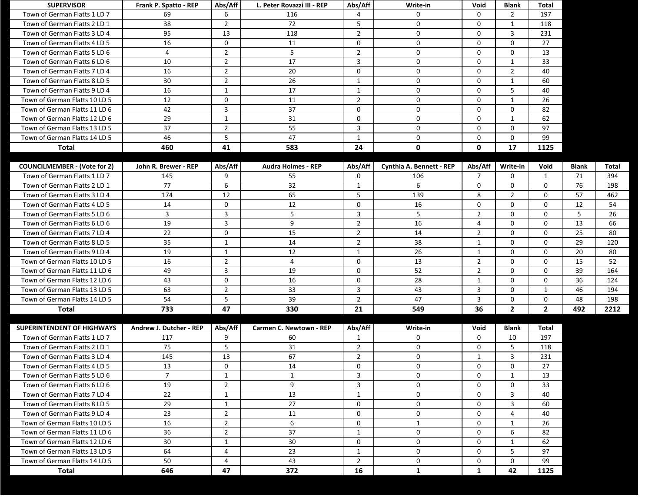| <b>SUPERVISOR</b>                   | Frank P. Spatto - REP   | Abs/Aff        | L. Peter Rovazzi III - REP     | Abs/Aff        | Write-in                 | Void           | <b>Blank</b>   | <b>Total</b>   |              |              |
|-------------------------------------|-------------------------|----------------|--------------------------------|----------------|--------------------------|----------------|----------------|----------------|--------------|--------------|
| Town of German Flatts 1 LD 7        | 69                      | 6              | 116                            | 4              | 0                        | $\Omega$       | 2              | 197            |              |              |
| Town of German Flatts 2 LD 1        | 38                      | $\overline{2}$ | 72                             | 5              | 0                        | $\mathbf 0$    | $\mathbf{1}$   | 118            |              |              |
| Town of German Flatts 3 LD 4        | 95                      | 13             | 118                            | $\overline{2}$ | 0                        | $\mathbf{0}$   | 3              | 231            |              |              |
| Town of German Flatts 4 LD 5        | 16                      | $\mathbf 0$    | 11                             | $\mathbf 0$    | 0                        | $\Omega$       | $\mathbf 0$    | 27             |              |              |
| Town of German Flatts 5 LD 6        | 4                       | $\overline{2}$ | 5                              | $\overline{2}$ | 0                        | 0              | $\mathbf 0$    | 13             |              |              |
| Town of German Flatts 6 LD 6        | 10                      | $\overline{2}$ | 17                             | $\overline{3}$ | $\mathbf 0$              | $\Omega$       | $\mathbf{1}$   | 33             |              |              |
| Town of German Flatts 7 LD 4        | 16                      | $\overline{2}$ | 20                             | $\mathbf 0$    | 0                        | $\mathbf 0$    | $\overline{2}$ | 40             |              |              |
| Town of German Flatts 8 LD 5        | 30                      | $\overline{2}$ | 26                             | $\mathbf{1}$   | 0                        | $\mathbf 0$    | $\mathbf{1}$   | 60             |              |              |
| Town of German Flatts 9 LD 4        | 16                      | $\mathbf{1}$   | 17                             | $\mathbf{1}$   | 0                        | $\Omega$       | 5              | 40             |              |              |
| Town of German Flatts 10 LD 5       | 12                      | $\mathbf 0$    | 11                             | $\overline{2}$ | 0                        | 0              | $\mathbf{1}$   | 26             |              |              |
| Town of German Flatts 11 LD 6       | 42                      | 3              | 37                             | $\mathbf 0$    | $\mathbf 0$              | $\Omega$       | $\mathbf 0$    | 82             |              |              |
| Town of German Flatts 12 LD 6       | 29                      | $\mathbf{1}$   | 31                             | $\mathbf 0$    | 0                        | $\mathbf 0$    | $\mathbf{1}$   | 62             |              |              |
| Town of German Flatts 13 LD 5       | 37                      | $\overline{2}$ | 55                             | $\overline{3}$ | 0                        | $\mathbf{0}$   | $\mathbf 0$    | 97             |              |              |
| Town of German Flatts 14 LD 5       | 46                      | 5              | 47                             | $\mathbf{1}$   | 0                        | $\Omega$       | $\mathbf 0$    | 99             |              |              |
| <b>Total</b>                        | 460                     | 41             | 583                            | 24             | $\mathbf 0$              | $\mathbf 0$    | 17             | 1125           |              |              |
|                                     |                         |                |                                |                |                          |                |                |                |              |              |
| <b>COUNCILMEMBER - (Vote for 2)</b> | John R. Brewer - REP    | Abs/Aff        | <b>Audra Holmes - REP</b>      | Abs/Aff        | Cynthia A. Bennett - REP | Abs/Aff        | Write-in       | Void           | <b>Blank</b> | <b>Total</b> |
| Town of German Flatts 1 LD 7        | 145                     | 9              | 55                             | $\mathbf 0$    | 106                      | $\overline{7}$ | $\mathbf 0$    | 1              | 71           | 394          |
| Town of German Flatts 2 LD 1        | 77                      | 6              | 32                             | $\mathbf{1}$   | 6                        | $\mathbf 0$    | $\mathbf 0$    | $\mathbf 0$    | 76           | 198          |
| Town of German Flatts 3 LD 4        | 174                     | 12             | 65                             | 5              | 139                      | 8              | $\overline{2}$ | $\Omega$       | 57           | 462          |
| Town of German Flatts 4 LD 5        | 14                      | $\mathbf 0$    | 12                             | $\mathbf 0$    | 16                       | $\mathbf 0$    | $\mathbf 0$    | $\mathbf 0$    | 12           | 54           |
| Town of German Flatts 5 LD 6        | $\mathbf{3}$            | 3              | 5                              | $\overline{3}$ | 5                        | $\overline{2}$ | $\mathbf 0$    | $\Omega$       | 5            | 26           |
| Town of German Flatts 6 LD 6        | 19                      | $\mathbf{3}$   | 9                              | $\overline{2}$ | 16                       | $\overline{4}$ | $\mathbf 0$    | $\mathbf{0}$   | 13           | 66           |
| Town of German Flatts 7 LD 4        | 22                      | $\mathbf 0$    | 15                             | $\overline{2}$ | 14                       | $\overline{2}$ | $\mathbf 0$    | $\Omega$       | 25           | 80           |
| Town of German Flatts 8 LD 5        | 35                      | 1              | 14                             | $\overline{2}$ | 38                       | 1              | $\Omega$       | $\Omega$       | 29           | 120          |
| Town of German Flatts 9 LD 4        | 19                      | $\mathbf{1}$   | 12                             | $\mathbf{1}$   | 26                       | $\mathbf{1}$   | $\mathbf 0$    | $\mathbf 0$    | 20           | 80           |
| Town of German Flatts 10 LD 5       | 16                      | $\overline{2}$ | $\overline{a}$                 | $\mathbf 0$    | 13                       | $\overline{2}$ | $\mathbf 0$    | $\Omega$       | 15           | 52           |
| Town of German Flatts 11 LD 6       | 49                      | $\mathbf{3}$   | 19                             | $\mathbf 0$    | 52                       | $\overline{2}$ | $\mathbf 0$    | $\mathbf{0}$   | 39           | 164          |
| Town of German Flatts 12 LD 6       | 43                      | 0              | 16                             | $\mathbf{0}$   | 28                       | 1              | 0              | $\Omega$       | 36           | 124          |
| Town of German Flatts 13 LD 5       | 63                      | $\overline{2}$ | 33                             | $\overline{3}$ | 43                       | 3              | $\Omega$       | -1             | 46           | 194          |
| Town of German Flatts 14 LD 5       | 54                      | 5              | 39                             | $\overline{2}$ | 47                       | 3              | 0              | 0              | 48           | 198          |
| <b>Total</b>                        | 733                     | 47             | 330                            | 21             | 549                      | 36             | $\overline{2}$ | $\overline{2}$ | 492          | 2212         |
|                                     |                         |                |                                |                |                          |                |                |                |              |              |
| <b>SUPERINTENDENT OF HIGHWAYS</b>   | Andrew J. Dutcher - REP | Abs/Aff        | <b>Carmen C. Newtown - REP</b> | Abs/Aff        | Write-in                 | Void           | <b>Blank</b>   | <b>Total</b>   |              |              |
| Town of German Flatts 1 LD 7        | 117                     | 9              | 60                             | 1              | 0                        | $\mathbf{0}$   | 10             | 197            |              |              |
| Town of German Flatts 2 LD 1        | 75                      | 5              | 31                             | $\overline{2}$ | 0                        | $\mathbf 0$    | 5              | 118            |              |              |
| Town of German Flatts 3 LD 4        | 145                     | 13             | 67                             | $\overline{2}$ | $\mathbf{0}$             | $\mathbf{1}$   | 3              | 231            |              |              |
| Town of German Flatts 4 LD 5        | 13                      | 0              | 14                             | $\mathbf 0$    | 0                        | $\mathbf 0$    | $\mathbf 0$    | 27             |              |              |
| Town of German Flatts 5 LD 6        | $\overline{7}$          | $\mathbf{1}$   | $\mathbf{1}$                   | $\mathbf{3}$   | $\mathbf{0}$             | $\mathbf 0$    | 1              | 13             |              |              |
| Town of German Flatts 6 LD 6        | 19                      | $\overline{2}$ | 9                              | $\overline{3}$ | 0                        | $\mathbf{0}$   | $\mathbf 0$    | 33             |              |              |
| Town of German Flatts 7 LD 4        | 22                      | 1              | 13                             | 1              | 0                        | $\Omega$       | 3              | 40             |              |              |
| Town of German Flatts 8 LD 5        | 29                      | $\mathbf{1}$   | 27                             | $\mathbf 0$    | 0                        | $\mathbf 0$    | 3              | 60             |              |              |
| Town of German Flatts 9 LD 4        | 23                      | $\overline{2}$ | 11                             | $\mathbf 0$    | 0                        | 0              | 4              | 40             |              |              |
| Town of German Flatts 10 LD 5       | 16                      | $\overline{2}$ | 6                              | $\mathbf 0$    | $\mathbf{1}$             | $\mathbf 0$    | $\mathbf{1}$   | 26             |              |              |
| Town of German Flatts 11 LD 6       | 36                      | $\overline{2}$ | 37                             | 1              | 0                        | $\mathbf{0}$   | 6              | 82             |              |              |
| Town of German Flatts 12 LD 6       | 30                      | 1              | 30                             | $\Omega$       | 0                        | $\Omega$       | 1              | 62             |              |              |
| Town of German Flatts 13 LD 5       | 64                      | $\overline{4}$ | 23                             | 1              | $\mathbf{0}$             | $\mathbf 0$    | 5              | 97             |              |              |
| Town of German Flatts 14 LD 5       | 50                      | $\overline{4}$ | 43                             | $\overline{2}$ | $\mathbf 0$              | 0              | $\mathbf 0$    | 99             |              |              |
| <b>Total</b>                        | 646                     | 47             | 372                            | 16             | $\mathbf{1}$             | $\mathbf{1}$   | 42             | 1125           |              |              |
|                                     |                         |                |                                |                |                          |                |                |                |              |              |